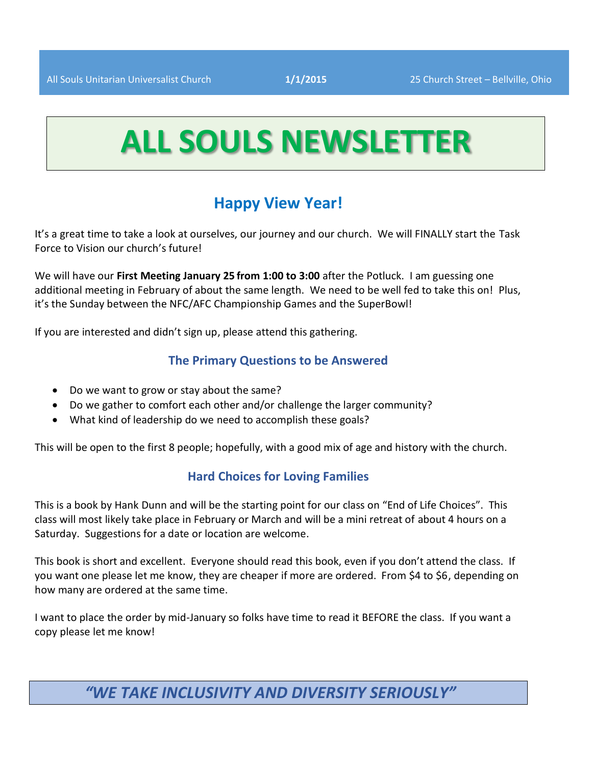# **ALL SOULS NEWSLETTER**

## **Happy View Year!**

It's a great time to take a look at ourselves, our journey and our church. We will FINALLY start the Task Force to Vision our church's future!

We will have our **First Meeting January 25 from 1:00 to 3:00** after the Potluck. I am guessing one additional meeting in February of about the same length. We need to be well fed to take this on! Plus, it's the Sunday between the NFC/AFC Championship Games and the SuperBowl!

If you are interested and didn't sign up, please attend this gathering.

#### **The Primary Questions to be Answered**

- Do we want to grow or stay about the same?
- Do we gather to comfort each other and/or challenge the larger community?
- What kind of leadership do we need to accomplish these goals?

This will be open to the first 8 people; hopefully, with a good mix of age and history with the church.

#### **Hard Choices for Loving Families**

This is a book by Hank Dunn and will be the starting point for our class on "End of Life Choices". This class will most likely take place in February or March and will be a mini retreat of about 4 hours on a Saturday. Suggestions for a date or location are welcome.

This book is short and excellent. Everyone should read this book, even if you don't attend the class. If you want one please let me know, they are cheaper if more are ordered. From \$4 to \$6, depending on how many are ordered at the same time.

I want to place the order by mid-January so folks have time to read it BEFORE the class. If you want a copy please let me know!

## *"WE TAKE INCLUSIVITY AND DIVERSITY SERIOUSLY"*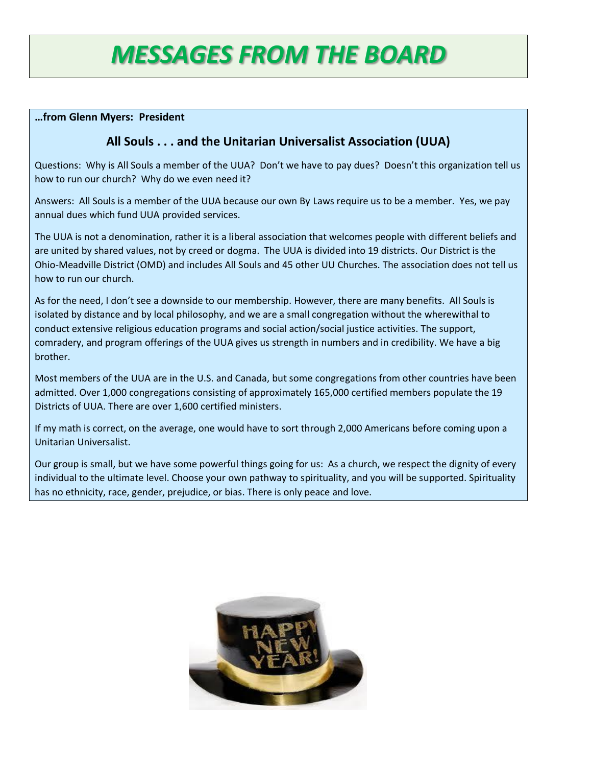## *MESSAGES FROM THE BOARD*

#### **…from Glenn Myers: President**

## **All Souls . . . and the Unitarian Universalist Association (UUA)**

Questions: Why is All Souls a member of the UUA? Don't we have to pay dues? Doesn't this organization tell us how to run our church? Why do we even need it?

Answers: All Souls is a member of the UUA because our own By Laws require us to be a member. Yes, we pay annual dues which fund UUA provided services.

The UUA is not a denomination, rather it is a liberal association that welcomes people with different beliefs and are united by shared values, not by creed or dogma. The UUA is divided into 19 districts. Our District is the Ohio-Meadville District (OMD) and includes All Souls and 45 other UU Churches. The association does not tell us how to run our church.

As for the need, I don't see a downside to our membership. However, there are many benefits. All Souls is isolated by distance and by local philosophy, and we are a small congregation without the wherewithal to conduct extensive religious education programs and social action/social justice activities. The support, comradery, and program offerings of the UUA gives us strength in numbers and in credibility. We have a big brother.

Most members of the UUA are in the U.S. and Canada, but some congregations from other countries have been admitted. Over 1,000 congregations consisting of approximately 165,000 certified members populate the 19 Districts of UUA. There are over 1,600 certified ministers.

If my math is correct, on the average, one would have to sort through 2,000 Americans before coming upon a Unitarian Universalist.

Our group is small, but we have some powerful things going for us: As a church, we respect the dignity of every individual to the ultimate level. Choose your own pathway to spirituality, and you will be supported. Spirituality has no ethnicity, race, gender, prejudice, or bias. There is only peace and love.

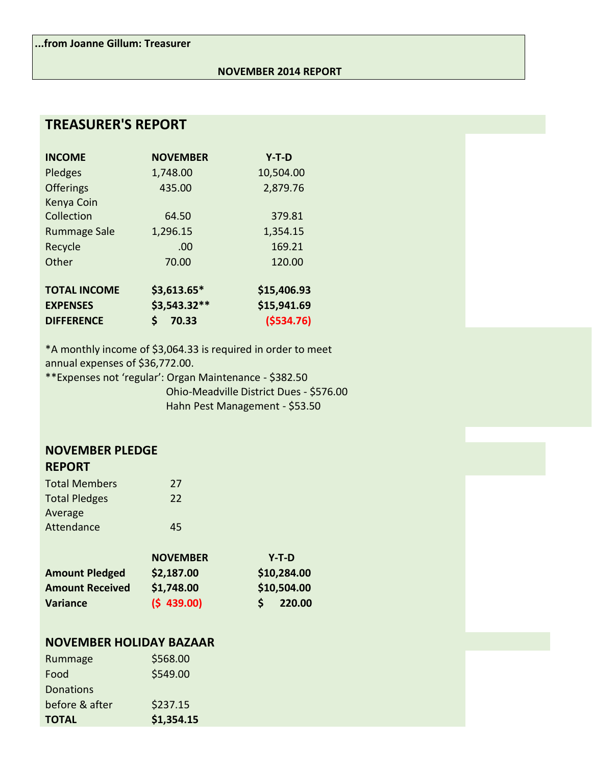#### **NOVEMBER 2014 REPORT**

## **TREASURER'S REPORT**

| <b>INCOME</b>       | <b>NOVEMBER</b> | $Y-T-D$     |
|---------------------|-----------------|-------------|
| Pledges             | 1,748.00        | 10,504.00   |
| <b>Offerings</b>    | 435.00          | 2,879.76    |
| Kenya Coin          |                 |             |
| Collection          | 64.50           | 379.81      |
| <b>Rummage Sale</b> | 1,296.15        | 1,354.15    |
| Recycle             | .00             | 169.21      |
| Other               | 70.00           | 120.00      |
| <b>TOTAL INCOME</b> | $$3,613.65*$    | \$15,406.93 |
| <b>EXPENSES</b>     | \$3,543.32**    | \$15,941.69 |
| <b>DIFFERENCE</b>   | \$<br>70.33     | ( \$534.76) |

\*A monthly income of \$3,064.33 is required in order to meet annual expenses of \$36,772.00.

\*\*Expenses not 'regular': Organ Maintenance - \$382.50 Ohio-Meadville District Dues - \$576.00 Hahn Pest Management - \$53.50

#### **NOVEMBER PLEDGE REPORT**

| <b>Total Members</b> | 27 |
|----------------------|----|
| <b>Total Pledges</b> | 22 |
| Average              |    |
| Attendance           | 45 |

|                        | <b>NOVEMBER</b> | $Y-T-D$     |
|------------------------|-----------------|-------------|
| <b>Amount Pledged</b>  | \$2,187.00      | \$10,284.00 |
| <b>Amount Received</b> | \$1,748.00      | \$10,504.00 |
| Variance               | (5 439.00)      | 220.00      |

### **NOVEMBER HOLIDAY BAZAAR**

| <b>TOTAL</b>     | \$1,354.15 |
|------------------|------------|
| before & after   | \$237.15   |
| <b>Donations</b> |            |
| Food             | \$549.00   |
| Rummage          | \$568.00   |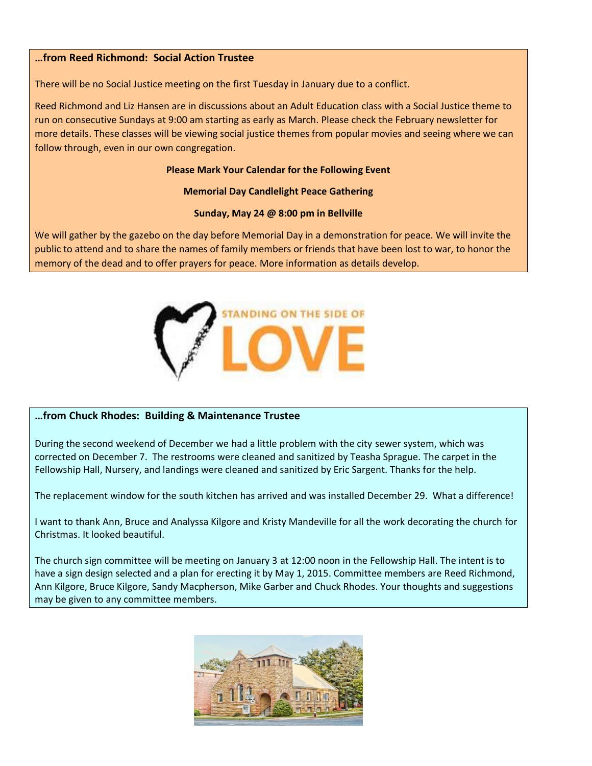#### **…from Reed Richmond: Social Action Trustee**

There will be no Social Justice meeting on the first Tuesday in January due to a conflict.

Reed Richmond and Liz Hansen are in discussions about an Adult Education class with a Social Justice theme to run on consecutive Sundays at 9:00 am starting as early as March. Please check the February newsletter for more details. These classes will be viewing social justice themes from popular movies and seeing where we can follow through, even in our own congregation.

#### **Please Mark Your Calendar for the Following Event**

#### **Memorial Day Candlelight Peace Gathering**

#### **Sunday, May 24 @ 8:00 pm in Bellville**

We will gather by the gazebo on the day before Memorial Day in a demonstration for peace. We will invite the public to attend and to share the names of family members or friends that have been lost to war, to honor the memory of the dead and to offer prayers for peace. More information as details develop.



#### **…from Chuck Rhodes: Building & Maintenance Trustee**

During the second weekend of December we had a little problem with the city sewer system, which was corrected on December 7. The restrooms were cleaned and sanitized by Teasha Sprague. The carpet in the Fellowship Hall, Nursery, and landings were cleaned and sanitized by Eric Sargent. Thanks for the help.

The replacement window for the south kitchen has arrived and was installed December 29. What a difference!

I want to thank Ann, Bruce and Analyssa Kilgore and Kristy Mandeville for all the work decorating the church for Christmas. It looked beautiful.

The church sign committee will be meeting on January 3 at 12:00 noon in the Fellowship Hall. The intent is to have a sign design selected and a plan for erecting it by May 1, 2015. Committee members are Reed Richmond, Ann Kilgore, Bruce Kilgore, Sandy Macpherson, Mike Garber and Chuck Rhodes. Your thoughts and suggestions may be given to any committee members.

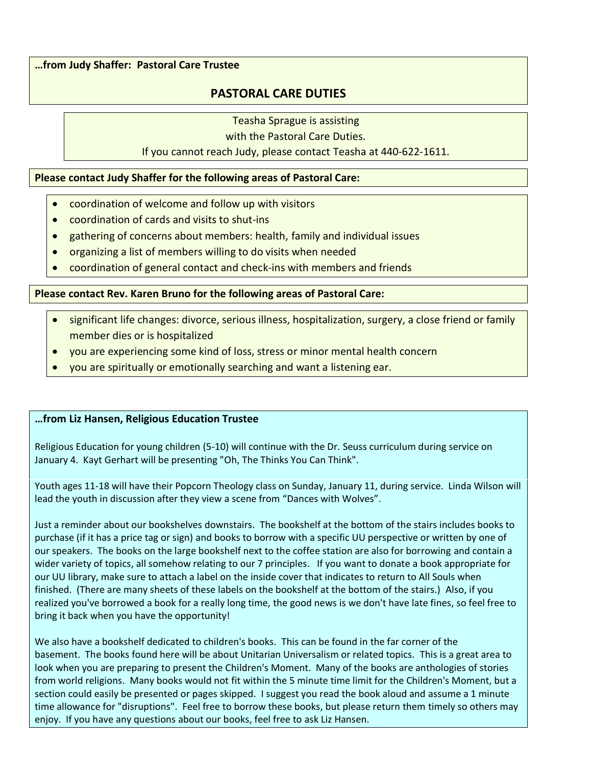**…from Judy Shaffer: Pastoral Care Trustee**

#### **PASTORAL CARE DUTIES**

Teasha Sprague is assisting

with the Pastoral Care Duties.

#### If you cannot reach Judy, please contact Teasha at 440-622-1611.

**Please contact Judy Shaffer for the following areas of Pastoral Care:**

- coordination of welcome and follow up with visitors
- $\bullet$  coordination of cards and visits to shut-ins
- gathering of concerns about members: health, family and individual issues
- organizing a list of members willing to do visits when needed
- x coordination of general contact and check-ins with members and friends

**Please contact Rev. Karen Bruno for the following areas of Pastoral Care:**

- significant life changes: divorce, serious illness, hospitalization, surgery, a close friend or family member dies or is hospitalized
- you are experiencing some kind of loss, stress or minor mental health concern
- you are spiritually or emotionally searching and want a listening ear.

#### **…from Liz Hansen, Religious Education Trustee**

Religious Education for young children (5-10) will continue with the Dr. Seuss curriculum during service on January 4. Kayt Gerhart will be presenting "Oh, The Thinks You Can Think".

Youth ages 11-18 will have their Popcorn Theology class on Sunday, January 11, during service. Linda Wilson will lead the youth in discussion after they view a scene from "Dances with Wolves".

Just a reminder about our bookshelves downstairs. The bookshelf at the bottom of the stairs includes books to purchase (if it has a price tag or sign) and books to borrow with a specific UU perspective or written by one of our speakers. The books on the large bookshelf next to the coffee station are also for borrowing and contain a wider variety of topics, all somehow relating to our 7 principles. If you want to donate a book appropriate for our UU library, make sure to attach a label on the inside cover that indicates to return to All Souls when finished. (There are many sheets of these labels on the bookshelf at the bottom of the stairs.) Also, if you realized you've borrowed a book for a really long time, the good news is we don't have late fines, so feel free to bring it back when you have the opportunity!

We also have a bookshelf dedicated to children's books. This can be found in the far corner of the basement. The books found here will be about Unitarian Universalism or related topics. This is a great area to look when you are preparing to present the Children's Moment. Many of the books are anthologies of stories from world religions. Many books would not fit within the 5 minute time limit for the Children's Moment, but a section could easily be presented or pages skipped. I suggest you read the book aloud and assume a 1 minute time allowance for "disruptions". Feel free to borrow these books, but please return them timely so others may enjoy. If you have any questions about our books, feel free to ask Liz Hansen.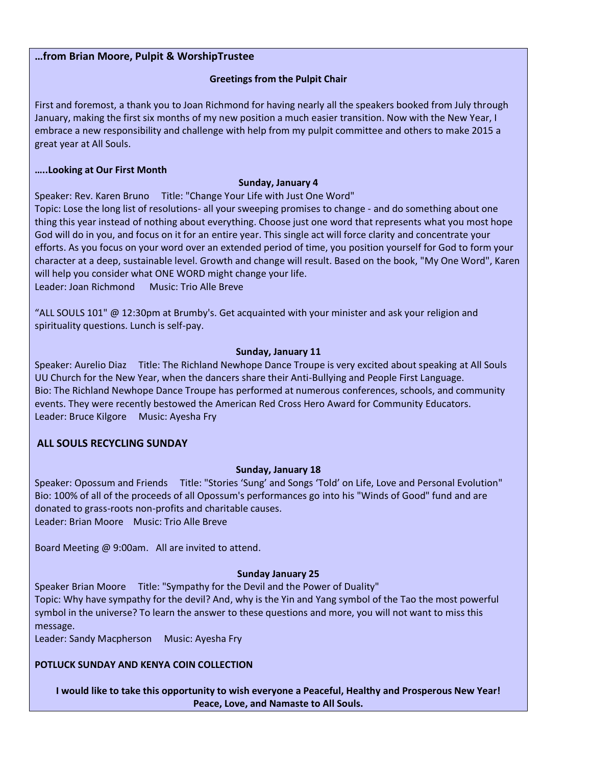#### **…from Brian Moore, Pulpit & WorshipTrustee**

#### **Greetings from the Pulpit Chair**

First and foremost, a thank you to Joan Richmond for having nearly all the speakers booked from July through January, making the first six months of my new position a much easier transition. Now with the New Year, I embrace a new responsibility and challenge with help from my pulpit committee and others to make 2015 a great year at All Souls.

#### **…..Looking at Our First Month**

#### **Sunday, January 4**

Speaker: Rev. Karen Bruno Title: "Change Your Life with Just One Word"

Topic: Lose the long list of resolutions- all your sweeping promises to change - and do something about one thing this year instead of nothing about everything. Choose just one word that represents what you most hope God will do in you, and focus on it for an entire year. This single act will force clarity and concentrate your efforts. As you focus on your word over an extended period of time, you position yourself for God to form your character at a deep, sustainable level. Growth and change will result. Based on the book, "My One Word", Karen will help you consider what ONE WORD might change your life.

Leader: Joan Richmond Music: Trio Alle Breve

"ALL SOULS 101" @ 12:30pm at Brumby's. Get acquainted with your minister and ask your religion and spirituality questions. Lunch is self-pay.

#### **Sunday, January 11**

Speaker: Aurelio Diaz Title: The Richland Newhope Dance Troupe is very excited about speaking at All Souls UU Church for the New Year, when the dancers share their Anti-Bullying and People First Language. Bio: The Richland Newhope Dance Troupe has performed at numerous conferences, schools, and community events. They were recently bestowed the American Red Cross Hero Award for Community Educators. Leader: Bruce Kilgore Music: Ayesha Fry

#### **ALL SOULS RECYCLING SUNDAY**

#### **Sunday, January 18**

Speaker: Opossum and Friends Title: "Stories 'Sung' and Songs 'Told' on Life, Love and Personal Evolution" Bio: 100% of all of the proceeds of all Opossum's performances go into his "Winds of Good" fund and are donated to grass-roots non-profits and charitable causes. Leader: Brian Moore Music: Trio Alle Breve

Board Meeting @ 9:00am. All are invited to attend.

#### **Sunday January 25**

Speaker Brian Moore Title: "Sympathy for the Devil and the Power of Duality" Topic: Why have sympathy for the devil? And, why is the Yin and Yang symbol of the Tao the most powerful symbol in the universe? To learn the answer to these questions and more, you will not want to miss this message.

Leader: Sandy Macpherson Music: Ayesha Fry

#### **POTLUCK SUNDAY AND KENYA COIN COLLECTION**

**I would like to take this opportunity to wish everyone a Peaceful, Healthy and Prosperous New Year! Peace, Love, and Namaste to All Souls.**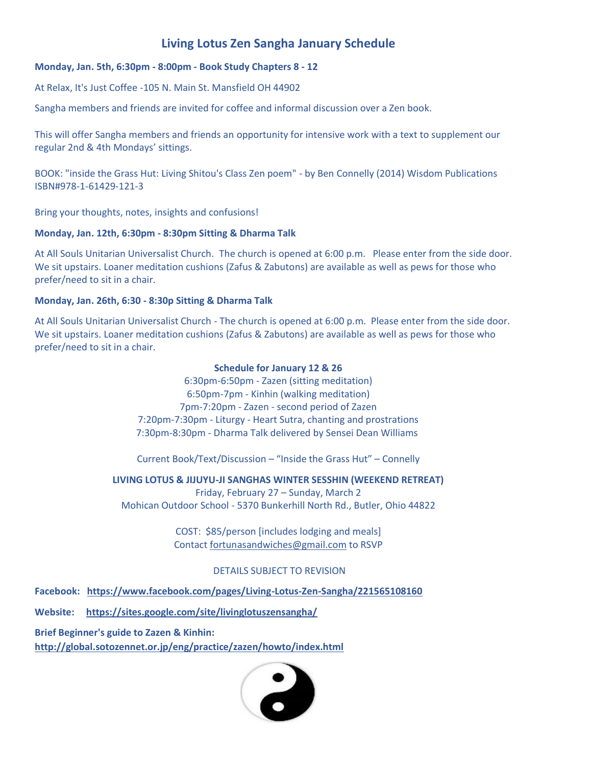## **Living Lotus Zen Sangha January Schedule**

#### **Monday, Jan. 5th, 6:30pm - 8:00pm - Book Study Chapters 8 - 12**

At Relax, It's Just Coffee -105 N. Main St. Mansfield OH 44902

Sangha members and friends are invited for coffee and informal discussion over a Zen book.

This will offer Sangha members and friends an opportunity for intensive work with a text to supplement our regular 2nd & 4th Mondays' sittings.

BOOK: "inside the Grass Hut: Living Shitou's Class Zen poem" - by Ben Connelly (2014) Wisdom Publications ISBN#978-1-61429-121-3

Bring your thoughts, notes, insights and confusions!

#### **Monday, Jan. 12th, 6:30pm - 8:30pm Sitting & Dharma Talk**

At All Souls Unitarian Universalist Church. The church is opened at 6:00 p.m. Please enter from the side door. We sit upstairs. Loaner meditation cushions (Zafus & Zabutons) are available as well as pews for those who prefer/need to sit in a chair.

#### **Monday, Jan. 26th, 6:30 - 8:30p Sitting & Dharma Talk**

At All Souls Unitarian Universalist Church - The church is opened at 6:00 p.m. Please enter from the side door. We sit upstairs. Loaner meditation cushions (Zafus & Zabutons) are available as well as pews for those who prefer/need to sit in a chair.

#### **Schedule for January 12 & 26**

6:30pm-6:50pm - Zazen (sitting meditation) 6:50pm-7pm - Kinhin (walking meditation) 7pm-7:20pm - Zazen - second period of Zazen 7:20pm-7:30pm - Liturgy - Heart Sutra, chanting and prostrations 7:30pm-8:30pm - Dharma Talk delivered by Sensei Dean Williams

Current Book/Text/Discussion – "Inside the Grass Hut" – Connelly

#### **LIVING LOTUS & JIJUYU-JI SANGHAS WINTER SESSHIN (WEEKEND RETREAT)**

Friday, February 27 – Sunday, March 2 Mohican Outdoor School - 5370 Bunkerhill North Rd., Butler, Ohio 44822

> COST: \$85/person [includes lodging and meals] Contact [fortunasandwiches@gmail.com](mailto:fortunasandwiches@gmail.com) to RSVP

#### DETAILS SUBJECT TO REVISION

**Facebook: <https://www.facebook.com/pages/Living-Lotus-Zen-Sangha/221565108160>**

**Website: <https://sites.google.com/site/livinglotuszensangha/>**

**Brief Beginner's guide to Zazen & Kinhin:** 

**<http://global.sotozennet.or.jp/eng/practice/zazen/howto/index.html>**

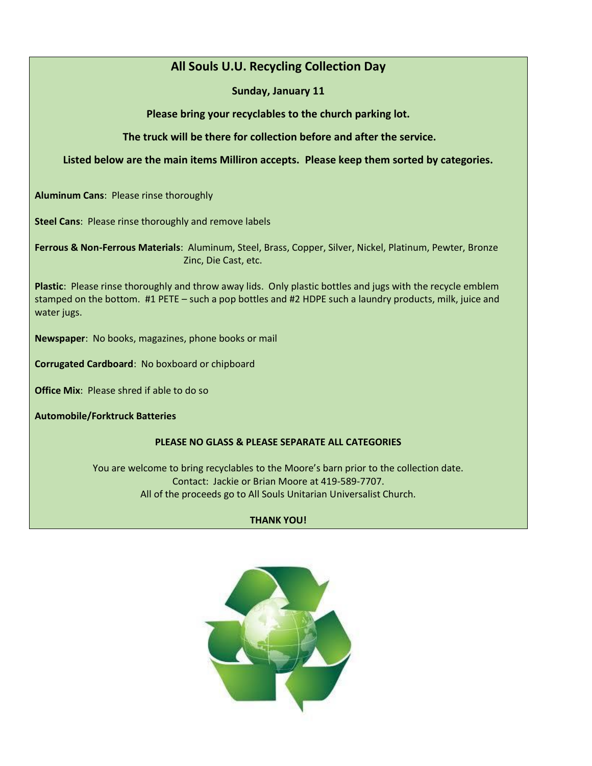## **All Souls U.U. Recycling Collection Day**

#### **Sunday, January 11**

**Please bring your recyclables to the church parking lot.** 

**The truck will be there for collection before and after the service.** 

#### **Listed below are the main items Milliron accepts. Please keep them sorted by categories.**

**Aluminum Cans**: Please rinse thoroughly

**Steel Cans**: Please rinse thoroughly and remove labels

**Ferrous & Non-Ferrous Materials**: Aluminum, Steel, Brass, Copper, Silver, Nickel, Platinum, Pewter, Bronze Zinc, Die Cast, etc.

**Plastic**: Please rinse thoroughly and throw away lids. Only plastic bottles and jugs with the recycle emblem stamped on the bottom. #1 PETE – such a pop bottles and #2 HDPE such a laundry products, milk, juice and water jugs.

**Newspaper**: No books, magazines, phone books or mail

**Corrugated Cardboard**: No boxboard or chipboard

**Office Mix**: Please shred if able to do so

**Automobile/Forktruck Batteries**

#### **PLEASE NO GLASS & PLEASE SEPARATE ALL CATEGORIES**

You are welcome to bring recyclables to the Moore's barn prior to the collection date. Contact: Jackie or Brian Moore at 419-589-7707. All of the proceeds go to All Souls Unitarian Universalist Church.

#### **THANK YOU!**

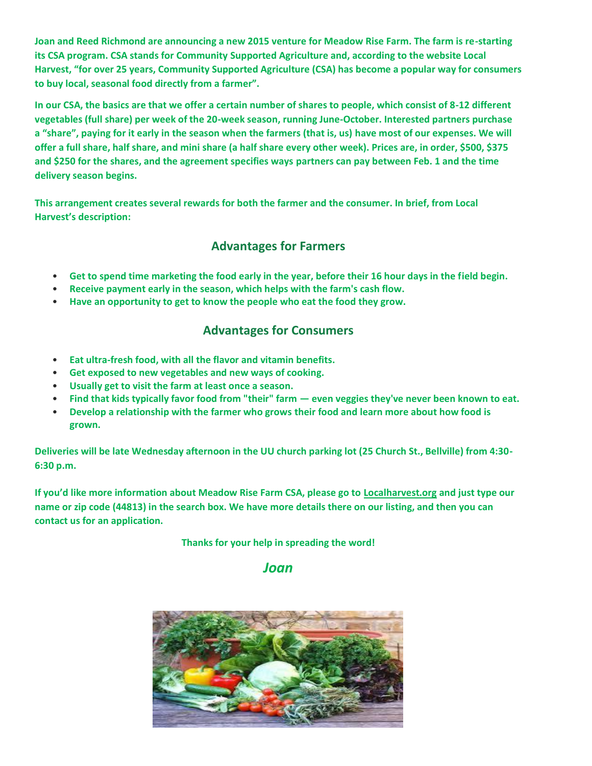**Joan and Reed Richmond are announcing a new 2015 venture for Meadow Rise Farm. The farm is re-starting its CSA program. CSA stands for Community Supported Agriculture and, according to the website Local Harvest, "for over 25 years, Community Supported Agriculture (CSA) has become a popular way for consumers to buy local, seasonal food directly from a farmer".**

**In our CSA, the basics are that we offer a certain number of shares to people, which consist of 8-12 different vegetables (full share) per week of the 20-week season, running June-October. Interested partners purchase a "share", paying for it early in the season when the farmers (that is, us) have most of our expenses. We will offer a full share, half share, and mini share (a half share every other week). Prices are, in order, \$500, \$375 and \$250 for the shares, and the agreement specifies ways partners can pay between Feb. 1 and the time delivery season begins.**

**This arrangement creates several rewards for both the farmer and the consumer. In brief, from Local Harvest's description:**

## **Advantages for Farmers**

- **Get to spend time marketing the food early in the year, before their 16 hour days in the field begin.**
- **Receive payment early in the season, which helps with the farm's cash flow.**
- **Have an opportunity to get to know the people who eat the food they grow.**

#### **Advantages for Consumers**

- **Eat ultra-fresh food, with all the flavor and vitamin benefits.**
- **Get exposed to new vegetables and new ways of cooking.**
- **Usually get to visit the farm at least once a season.**
- **Find that kids typically favor food from "their" farm — even veggies they've never been known to eat.**
- **Develop a relationship with the farmer who grows their food and learn more about how food is grown.**

**Deliveries will be late Wednesday afternoon in the UU church parking lot (25 Church St., Bellville) from 4:30- 6:30 p.m.**

**If you'd like more information about Meadow Rise Farm CSA, please go to [Localharvest.org](http://localharvest.org/) and just type our name or zip code (44813) in the search box. We have more details there on our listing, and then you can contact us for an application.**

**Thanks for your help in spreading the word!**

*Joan*